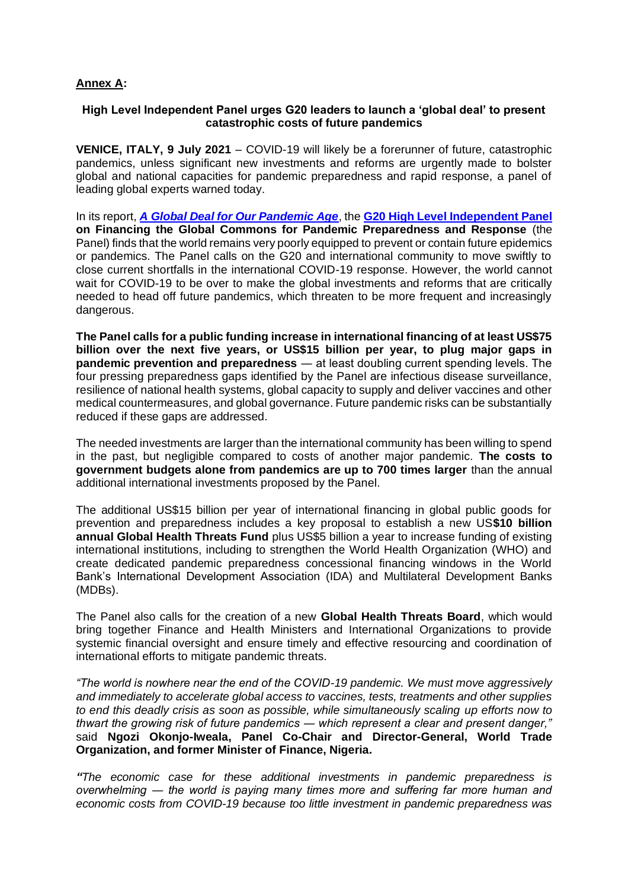## **Annex A:**

## **High Level Independent Panel urges G20 leaders to launch a 'global deal' to present catastrophic costs of future pandemics**

**VENICE, ITALY, 9 July 2021** – COVID-19 will likely be a forerunner of future, catastrophic pandemics, unless significant new investments and reforms are urgently made to bolster global and national capacities for pandemic preparedness and rapid response, a panel of leading global experts warned today.

In its report, *[A Global Deal for Our Pandemic Age](http://www.pandemic-financing.org/)*, the **[G20 High Level Independent Panel](http://www.pandemic-financing.org/about-us) on Financing the Global Commons for Pandemic Preparedness and Response** (the Panel) finds that the world remains very poorly equipped to prevent or contain future epidemics or pandemics. The Panel calls on the G20 and international community to move swiftly to close current shortfalls in the international COVID-19 response. However, the world cannot wait for COVID-19 to be over to make the global investments and reforms that are critically needed to head off future pandemics, which threaten to be more frequent and increasingly dangerous.

**The Panel calls for a public funding increase in international financing of at least US\$75 billion over the next five years, or US\$15 billion per year, to plug major gaps in pandemic prevention and preparedness** — at least doubling current spending levels. The four pressing preparedness gaps identified by the Panel are infectious disease surveillance, resilience of national health systems, global capacity to supply and deliver vaccines and other medical countermeasures, and global governance. Future pandemic risks can be substantially reduced if these gaps are addressed.

The needed investments are larger than the international community has been willing to spend in the past, but negligible compared to costs of another major pandemic. **The costs to government budgets alone from pandemics are up to 700 times larger** than the annual additional international investments proposed by the Panel.

The additional US\$15 billion per year of international financing in global public goods for prevention and preparedness includes a key proposal to establish a new US**\$10 billion annual Global Health Threats Fund** plus US\$5 billion a year to increase funding of existing international institutions, including to strengthen the World Health Organization (WHO) and create dedicated pandemic preparedness concessional financing windows in the World Bank's International Development Association (IDA) and Multilateral Development Banks (MDBs).

The Panel also calls for the creation of a new **Global Health Threats Board**, which would bring together Finance and Health Ministers and International Organizations to provide systemic financial oversight and ensure timely and effective resourcing and coordination of international efforts to mitigate pandemic threats.

*"The world is nowhere near the end of the COVID-19 pandemic. We must move aggressively and immediately to accelerate global access to vaccines, tests, treatments and other supplies to end this deadly crisis as soon as possible, while simultaneously scaling up efforts now to thwart the growing risk of future pandemics ― which represent a clear and present danger,"*  said **Ngozi Okonjo-Iweala, Panel Co-Chair and Director-General, World Trade Organization, and former Minister of Finance, Nigeria.**

*"The economic case for these additional investments in pandemic preparedness is overwhelming ― the world is paying many times more and suffering far more human and economic costs from COVID-19 because too little investment in pandemic preparedness was*